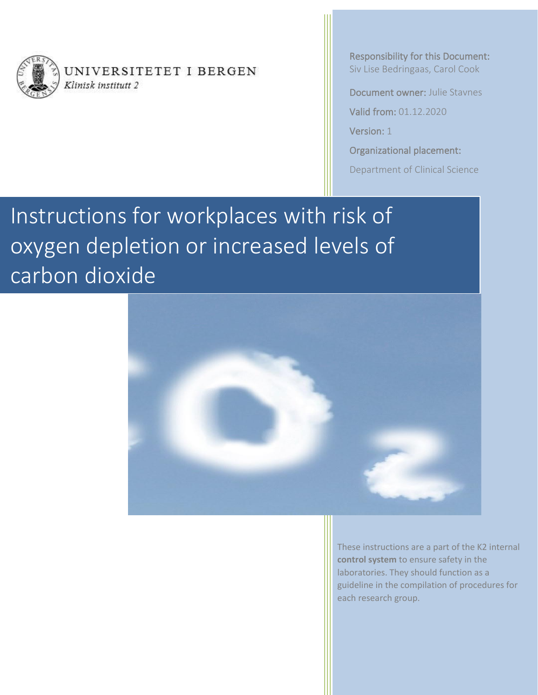

<span id="page-0-0"></span>UNIVERSITETET I BERGEN Klinisk institutt 2

<span id="page-0-1"></span>Responsibility for this Document: Siv Lise Bedringaas, Carol Cook

Document owner: Julie Stavnes

Valid from: 01.12.2020

Version: 1

Organizational placement:

Department of Clinical Science

Instructions for workplaces with risk of oxygen depletion or increased levels of carbon dioxide



These instructions are a part of the K2 internal **control system** to ensure safety in the laboratories. They should function as a guideline in the compilation of procedures for each research group.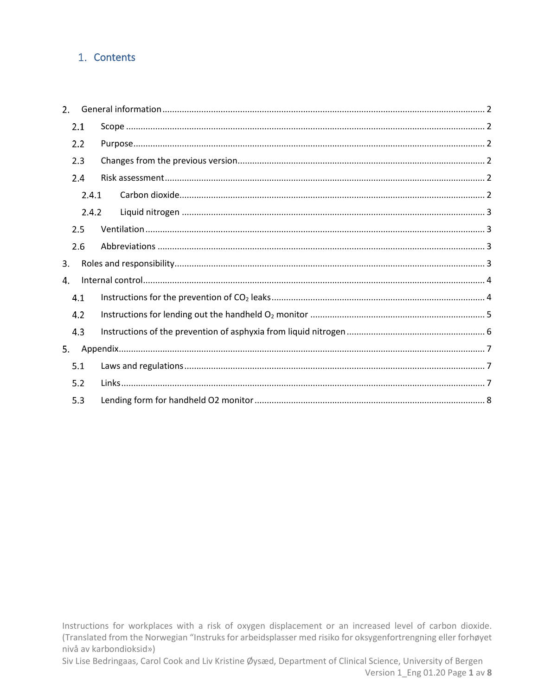# 1. Contents

| 2 <sub>1</sub> |       |  |
|----------------|-------|--|
|                | 2.1   |  |
|                | 2.2   |  |
|                | 2.3   |  |
|                | 2.4   |  |
|                | 2.4.1 |  |
|                | 2.4.2 |  |
|                | 2.5   |  |
|                | 2.6   |  |
| 3.             |       |  |
| 4.             |       |  |
|                | 4.1   |  |
|                | 4.2   |  |
|                | 4.3   |  |
| 5.             |       |  |
|                | 5.1   |  |
|                | 5.2   |  |
|                | 5.3   |  |

Instructions for workplaces with a risk of oxygen displacement or an increased level of carbon dioxide. (Translated from the Norwegian "Instruks for arbeidsplasser med risiko for oksygenfortrengning eller forhøyet nivå av karbondioksid»)

Siv Lise Bedringaas, Carol Cook and Liv Kristine Øysæd, Department of Clinical Science, University of Bergen Version 1\_Eng 01.20 Page 1 av 8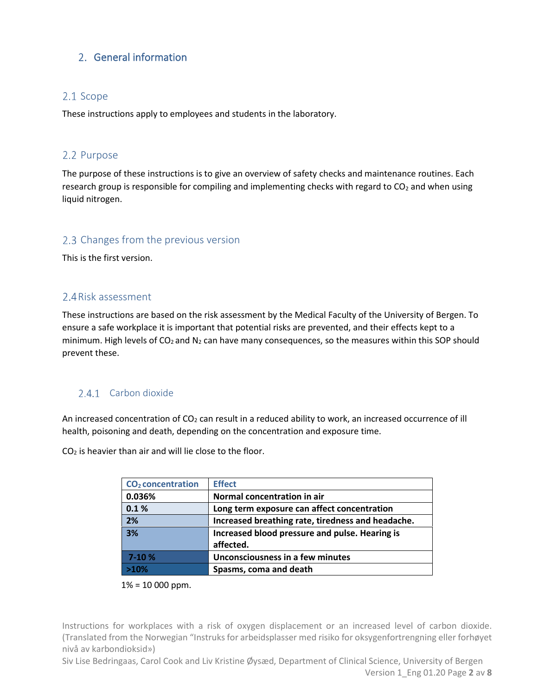# <span id="page-2-0"></span>2. General information

## <span id="page-2-1"></span>2.1 Scope

These instructions apply to employees and students in the laboratory.

## <span id="page-2-2"></span>2.2 Purpose

The purpose of these instructions is to give an overview of safety checks and maintenance routines. Each research group is responsible for compiling and implementing checks with regard to  $CO<sub>2</sub>$  and when using liquid nitrogen.

### <span id="page-2-3"></span>2.3 Changes from the previous version

This is the first version.

### <span id="page-2-4"></span>2.4 Risk assessment

These instructions are based on the risk assessment by the Medical Faculty of the University of Bergen. To ensure a safe workplace it is important that potential risks are prevented, and their effects kept to a minimum. High levels of  $CO<sub>2</sub>$  and N<sub>2</sub> can have many consequences, so the measures within this SOP should prevent these.

## <span id="page-2-5"></span>2.4.1 Carbon dioxide

An increased concentration of CO<sub>2</sub> can result in a reduced ability to work, an increased occurrence of ill health, poisoning and death, depending on the concentration and exposure time.

 $CO<sub>2</sub>$  is heavier than air and will lie close to the floor.

| CO <sub>2</sub> concentration | <b>Effect</b>                                     |
|-------------------------------|---------------------------------------------------|
| 0.036%                        | Normal concentration in air                       |
| 0.1%                          | Long term exposure can affect concentration       |
| 2%                            | Increased breathing rate, tiredness and headache. |
| 3%                            | Increased blood pressure and pulse. Hearing is    |
|                               | affected.                                         |
| $7-10%$                       | Unconsciousness in a few minutes                  |
| >10%                          | Spasms, coma and death                            |

 $1\% = 10000$  ppm.

Instructions for workplaces with a risk of oxygen displacement or an increased level of carbon dioxide. (Translated from the Norwegian "Instruks for arbeidsplasser med risiko for oksygenfortrengning eller forhøyet nivå av karbondioksid»)

Siv Lise Bedringaas, Carol Cook and Liv Kristine Øysæd, Department of Clinical Science, University of Bergen Version 1\_Eng 01.20 Page **2** av **8**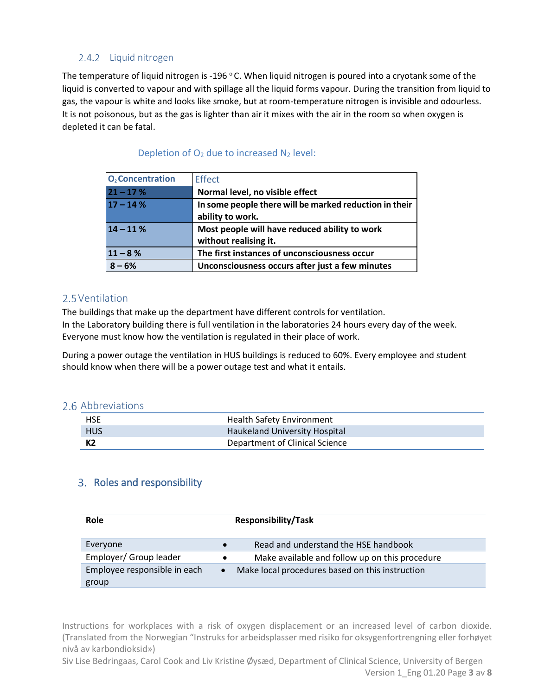### <span id="page-3-0"></span>2.4.2 Liquid nitrogen

The temperature of liquid nitrogen is -196  $^{\circ}$ C. When liquid nitrogen is poured into a cryotank some of the liquid is converted to vapour and with spillage all the liquid forms vapour. During the transition from liquid to gas, the vapour is white and looks like smoke, but at room-temperature nitrogen is invisible and odourless. It is not poisonous, but as the gas is lighter than air it mixes with the air in the room so when oxygen is depleted it can be fatal.

| O <sub>2</sub> Concentration | <b>Effect</b>                                                              |  |
|------------------------------|----------------------------------------------------------------------------|--|
| $21 - 17%$                   | Normal level, no visible effect                                            |  |
| $17 - 14%$                   | In some people there will be marked reduction in their<br>ability to work. |  |
| $14 - 11%$                   | Most people will have reduced ability to work<br>without realising it.     |  |
| $11 - 8%$                    | The first instances of unconsciousness occur                               |  |
| $8 - 6%$                     | Unconsciousness occurs after just a few minutes                            |  |

#### Depletion of  $O_2$  due to increased  $N_2$  level:

## <span id="page-3-1"></span>2.5 Ventilation

The buildings that make up the department have different controls for ventilation. In the Laboratory building there is full ventilation in the laboratories 24 hours every day of the week. Everyone must know how the ventilation is regulated in their place of work.

During a power outage the ventilation in HUS buildings is reduced to 60%. Every employee and student should know when there will be a power outage test and what it entails.

#### 2.6 Abbreviations

<span id="page-3-2"></span>

| <b>HSE</b> | <b>Health Safety Environment</b> |
|------------|----------------------------------|
| <b>HUS</b> | Haukeland University Hospital    |
| К2         | Department of Clinical Science   |

## <span id="page-3-3"></span>3. Roles and responsibility

| Role                         | <b>Responsibility/Task</b>                                   |  |
|------------------------------|--------------------------------------------------------------|--|
| Everyone                     | Read and understand the HSE handbook<br>$\bullet$            |  |
| Employer/ Group leader       | Make available and follow up on this procedure<br>$\bullet$  |  |
| Employee responsible in each | Make local procedures based on this instruction<br>$\bullet$ |  |
| group                        |                                                              |  |

Instructions for workplaces with a risk of oxygen displacement or an increased level of carbon dioxide. (Translated from the Norwegian "Instruks for arbeidsplasser med risiko for oksygenfortrengning eller forhøyet nivå av karbondioksid»)

Siv Lise Bedringaas, Carol Cook and Liv Kristine Øysæd, Department of Clinical Science, University of Bergen Version 1\_Eng 01.20 Page **3** av **8**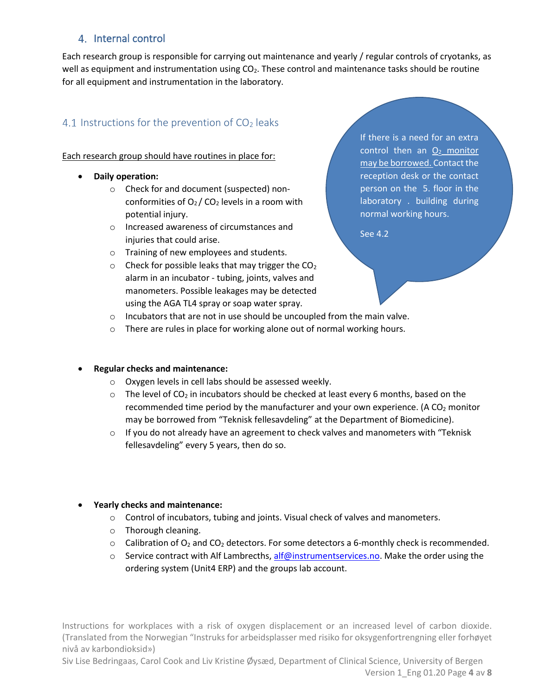## <span id="page-4-0"></span>4. Internal control

Each research group is responsible for carrying out maintenance and yearly / regular controls of cryotanks, as well as equipment and instrumentation using  $CO<sub>2</sub>$ . These control and maintenance tasks should be routine for all equipment and instrumentation in the laboratory.

# <span id="page-4-1"></span>4.1 Instructions for the prevention of  $CO<sub>2</sub>$  leaks

Each research group should have routines in place for:

- **Daily operation:**
	- o Check for and document (suspected) nonconformities of  $O<sub>2</sub>$  / CO<sub>2</sub> levels in a room with potential injury.
	- o Increased awareness of circumstances and injuries that could arise.
	- o Training of new employees and students.
	- $\circ$  Check for possible leaks that may trigger the CO<sub>2</sub> alarm in an incubator - tubing, joints, valves and manometers. Possible leakages may be detected using the AGA TL4 spray or soap water spray.

If there is a need for an extra control then an  $O<sub>2</sub>$  monitor may be borrowed. Contact the reception desk or the contact person on the 5. floor in the laboratory . building during normal working hours.

See 4.2

- o Incubators that are not in use should be uncoupled from the main valve.
- o There are rules in place for working alone out of normal working hours.

#### • **Regular checks and maintenance:**

- o Oxygen levels in cell labs should be assessed weekly.
- $\circ$  The level of CO<sub>2</sub> in incubators should be checked at least every 6 months, based on the recommended time period by the manufacturer and your own experience. (A CO<sub>2</sub> monitor may be borrowed from "Teknisk fellesavdeling" at the Department of Biomedicine).
- o If you do not already have an agreement to check valves and manometers with "Teknisk fellesavdeling" every 5 years, then do so.
- **Yearly checks and maintenance:**
	- $\circ$  Control of incubators, tubing and joints. Visual check of valves and manometers.
	- o Thorough cleaning.
	- $\circ$  Calibration of O<sub>2</sub> and CO<sub>2</sub> detectors. For some detectors a 6-monthly check is recommended.
	- $\circ$  Service contract with Alf Lambrecths[, alf@instrumentservices.no.](mailto:alf@instrumentservices.no) Make the order using the ordering system (Unit4 ERP) and the groups lab account.

Instructions for workplaces with a risk of oxygen displacement or an increased level of carbon dioxide. (Translated from the Norwegian "Instruks for arbeidsplasser med risiko for oksygenfortrengning eller forhøyet nivå av karbondioksid»)

Siv Lise Bedringaas, Carol Cook and Liv Kristine Øysæd, Department of Clinical Science, University of Bergen Version 1\_Eng 01.20 Page **4** av **8**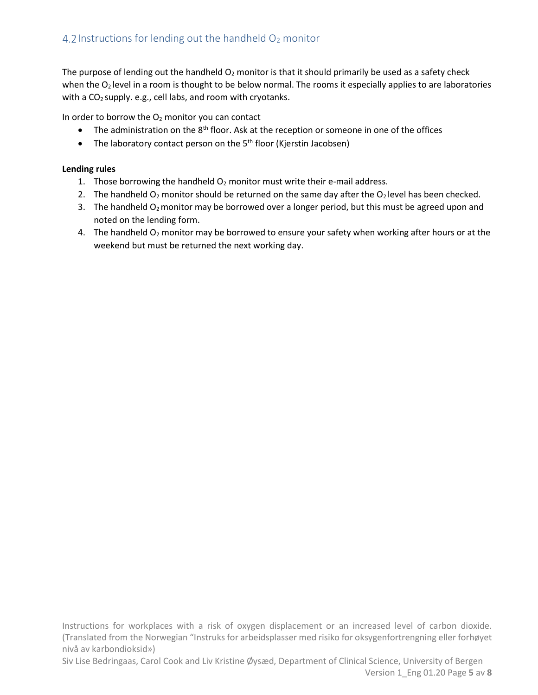<span id="page-5-0"></span>The purpose of lending out the handheld  $O_2$  monitor is that it should primarily be used as a safety check when the O<sub>2</sub> level in a room is thought to be below normal. The rooms it especially applies to are laboratories with a  $CO<sub>2</sub>$  supply. e.g., cell labs, and room with cryotanks.

In order to borrow the  $O<sub>2</sub>$  monitor you can contact

- The administration on the 8<sup>th</sup> floor. Ask at the reception or someone in one of the offices
- The laboratory contact person on the  $5<sup>th</sup>$  floor (Kjerstin Jacobsen)

#### **Lending rules**

- 1. Those borrowing the handheld  $O_2$  monitor must write their e-mail address.
- 2. The handheld  $O_2$  monitor should be returned on the same day after the  $O_2$  level has been checked.
- 3. The handheld  $O_2$  monitor may be borrowed over a longer period, but this must be agreed upon and noted on the lending form.
- 4. The handheld  $O_2$  monitor may be borrowed to ensure your safety when working after hours or at the weekend but must be returned the next working day.

Instructions for workplaces with a risk of oxygen displacement or an increased level of carbon dioxide. (Translated from the Norwegian "Instruks for arbeidsplasser med risiko for oksygenfortrengning eller forhøyet nivå av karbondioksid»)

Siv Lise Bedringaas, Carol Cook and Liv Kristine Øysæd, Department of Clinical Science, University of Bergen Version 1\_Eng 01.20 Page **5** av **8**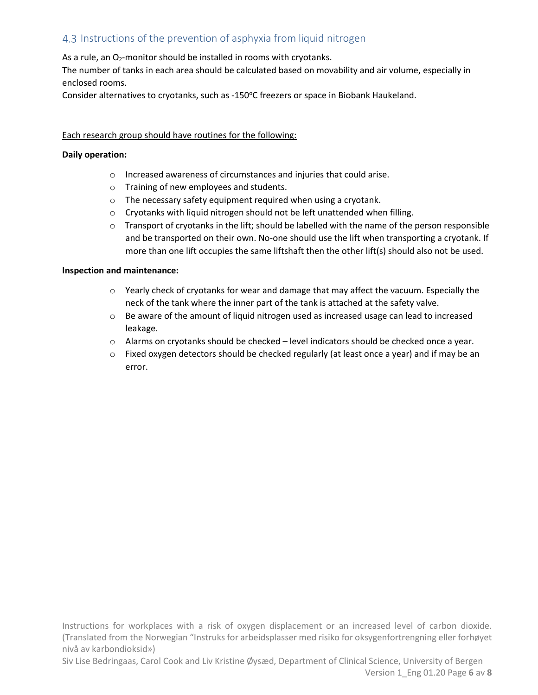# <span id="page-6-0"></span>4.3 Instructions of the prevention of asphyxia from liquid nitrogen

As a rule, an  $O_2$ -monitor should be installed in rooms with cryotanks.

The number of tanks in each area should be calculated based on movability and air volume, especially in enclosed rooms.

Consider alternatives to cryotanks, such as -150°C freezers or space in Biobank Haukeland.

#### Each research group should have routines for the following:

#### **Daily operation:**

- o Increased awareness of circumstances and injuries that could arise.
- o Training of new employees and students.
- o The necessary safety equipment required when using a cryotank.
- o Cryotanks with liquid nitrogen should not be left unattended when filling.
- $\circ$  Transport of cryotanks in the lift; should be labelled with the name of the person responsible and be transported on their own. No-one should use the lift when transporting a cryotank. If more than one lift occupies the same liftshaft then the other lift(s) should also not be used.

#### **Inspection and maintenance:**

- $\circ$  Yearly check of cryotanks for wear and damage that may affect the vacuum. Especially the neck of the tank where the inner part of the tank is attached at the safety valve.
- o Be aware of the amount of liquid nitrogen used as increased usage can lead to increased leakage.
- o Alarms on cryotanks should be checked level indicators should be checked once a year.
- $\circ$  Fixed oxygen detectors should be checked regularly (at least once a year) and if may be an error.

Instructions for workplaces with a risk of oxygen displacement or an increased level of carbon dioxide. (Translated from the Norwegian "Instruks for arbeidsplasser med risiko for oksygenfortrengning eller forhøyet nivå av karbondioksid»)

Siv Lise Bedringaas, Carol Cook and Liv Kristine Øysæd, Department of Clinical Science, University of Bergen Version 1\_Eng 01.20 Page **6** av **8**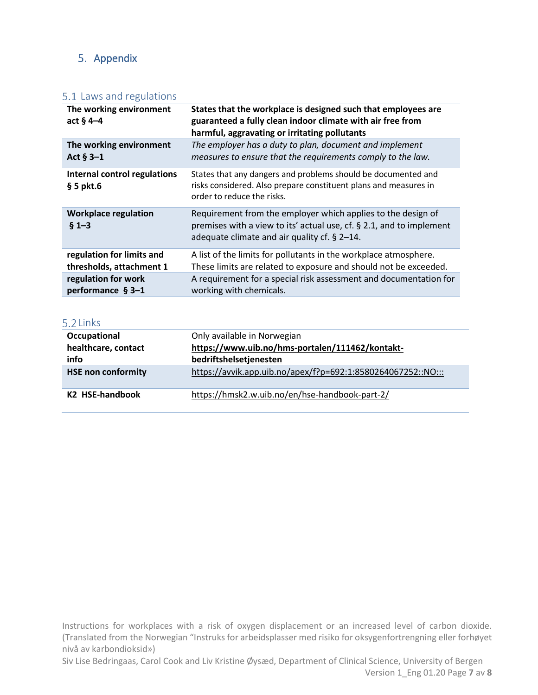# <span id="page-7-0"></span>5. Appendix

## <span id="page-7-1"></span>5.1 Laws and regulations

| The working environment<br>act $§$ 4-4      | States that the workplace is designed such that employees are<br>guaranteed a fully clean indoor climate with air free from<br>harmful, aggravating or irritating pollutants         |  |
|---------------------------------------------|--------------------------------------------------------------------------------------------------------------------------------------------------------------------------------------|--|
| The working environment                     | The employer has a duty to plan, document and implement                                                                                                                              |  |
| Act $§$ 3-1                                 | measures to ensure that the requirements comply to the law.                                                                                                                          |  |
| Internal control regulations<br>$§ 5$ pkt.6 | States that any dangers and problems should be documented and<br>risks considered. Also prepare constituent plans and measures in<br>order to reduce the risks.                      |  |
| <b>Workplace regulation</b><br>$§ 1 - 3$    | Requirement from the employer which applies to the design of<br>premises with a view to its' actual use, cf. § 2.1, and to implement<br>adequate climate and air quality cf. § 2-14. |  |
| regulation for limits and                   | A list of the limits for pollutants in the workplace atmosphere.                                                                                                                     |  |
| thresholds, attachment 1                    | These limits are related to exposure and should not be exceeded.                                                                                                                     |  |
| regulation for work                         | A requirement for a special risk assessment and documentation for                                                                                                                    |  |
| performance $§$ 3-1                         | working with chemicals.                                                                                                                                                              |  |

#### <span id="page-7-2"></span>5.2 Links

| Occupational              | Only available in Norwegian                                  |  |
|---------------------------|--------------------------------------------------------------|--|
| healthcare, contact       | https://www.uib.no/hms-portalen/111462/kontakt-              |  |
| info                      | bedriftshelsetjenesten                                       |  |
| <b>HSE non conformity</b> | https://avvik.app.uib.no/apex/f?p=692:1:8580264067252::NO::: |  |
| K2 HSE-handbook           | https://hmsk2.w.uib.no/en/hse-handbook-part-2/               |  |

Instructions for workplaces with a risk of oxygen displacement or an increased level of carbon dioxide. (Translated from the Norwegian "Instruks for arbeidsplasser med risiko for oksygenfortrengning eller forhøyet nivå av karbondioksid»)

Siv Lise Bedringaas, Carol Cook and Liv Kristine Øysæd, Department of Clinical Science, University of Bergen Version 1\_Eng 01.20 Page **7** av **8**